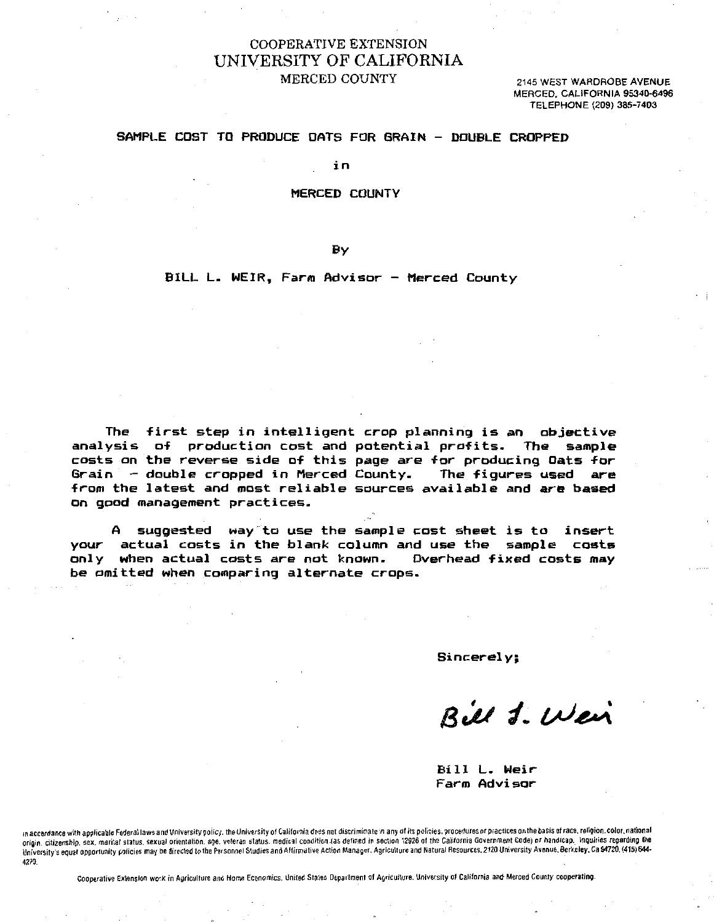# COOPERATIVE EXTENSION UNIVERSITY OF CALIFORNIA MERCED COUNTY 2145 WEST WARDROBE AVENUE

MERCED, CALIFORNIA 95340-6496 TELEPHONE (209) 385-7403

### SAMPLE COST TO PRODUCE OATS FOR GRAIN - DOUBLE CROPPED

in

#### MERCED COUNTY

By

## BILL L. WEIR, Farm Advisor - Merced County

The first step in intelligent crop planning is an objective analysis of production cost and potential profits. The sample costs on the reverse side of this page are for producing Oats for Grain double cropped in Merced County. The figures used are from the latest and most reliable sources available and are based on good management practices.

A suggested way to use the sample cost sheet is to insert your actual costs in the blank column and use the sample costs only when actual costs are not known. Overhead fixed costs may be omitted when comparing alternate crops.

Sincerely;

Bill 1. Wei

Bill L. Weir Farm Advisor

in accordance with applicable Federal laws and University policy. the University of California does not discriminate in any of its policies. procedures or practices on the basis of race. religion, color, national origin. citizenship. sex. marital status. sexual orientation. age. veteran status. medical condition (as defined in section 12926 of the California Government Code) or handicap. Inquiries regarding the University's equal opportunity policies may be directed to the Personnel Studies and Affirmative Action Manager. Agriculture and Natural Resources. 2120 University Avenue. Berkeley, Ca 94720. (415) 644- 4270.

Cooperative Extension work in Agriculture and Home Economics. United Stales Department of Agriculture. University of California and Merced County cooperating.